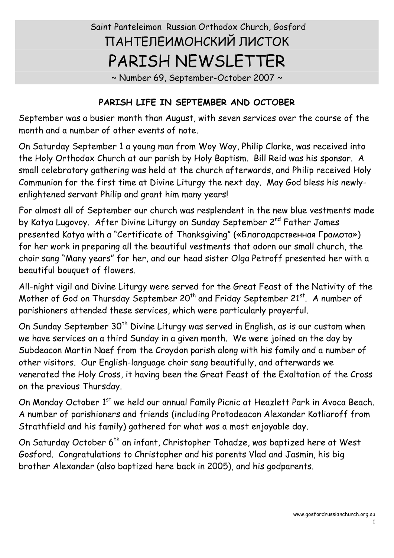# Saint Panteleimon Russian Orthodox Church, Gosford ПАНТЕЛЕИМОНСКИЙ ЛИСТОК PARISH NEWSLETTER

~ Number 69, September-October 2007 ~

# **PARISH LIFE IN SEPTEMBER AND OCTOBER**

September was a busier month than August, with seven services over the course of the month and a number of other events of note.

On Saturday September 1 a young man from Woy Woy, Philip Clarke, was received into the Holy Orthodox Church at our parish by Holy Baptism. Bill Reid was his sponsor. A small celebratory gathering was held at the church afterwards, and Philip received Holy Communion for the first time at Divine Liturgy the next day. May God bless his newlyenlightened servant Philip and grant him many years!

For almost all of September our church was resplendent in the new blue vestments made by Katya Lugovoy. After Divine Liturgy on Sunday September 2<sup>nd</sup> Father James presented Katya with a "Certificate of Thanksgiving" («Благодарственная Грамота») for her work in preparing all the beautiful vestments that adorn our small church, the choir sang "Many years" for her, and our head sister Olga Petroff presented her with a beautiful bouquet of flowers.

All-night vigil and Divine Liturgy were served for the Great Feast of the Nativity of the Mother of God on Thursday September 20<sup>th</sup> and Friday September 21<sup>st</sup>. A number of parishioners attended these services, which were particularly prayerful.

On Sunday September 30<sup>th</sup> Divine Liturgy was served in English, as is our custom when we have services on a third Sunday in a given month. We were joined on the day by Subdeacon Martin Naef from the Croydon parish along with his family and a number of other visitors. Our English-language choir sang beautifully, and afterwards we venerated the Holy Cross, it having been the Great Feast of the Exaltation of the Cross on the previous Thursday.

On Monday October 1<sup>st</sup> we held our annual Family Picnic at Heazlett Park in Avoca Beach. A number of parishioners and friends (including Protodeacon Alexander Kotliaroff from Strathfield and his family) gathered for what was a most enjoyable day.

On Saturday October 6<sup>th</sup> an infant, Christopher Tohadze, was baptized here at West Gosford. Congratulations to Christopher and his parents Vlad and Jasmin, his big brother Alexander (also baptized here back in 2005), and his godparents.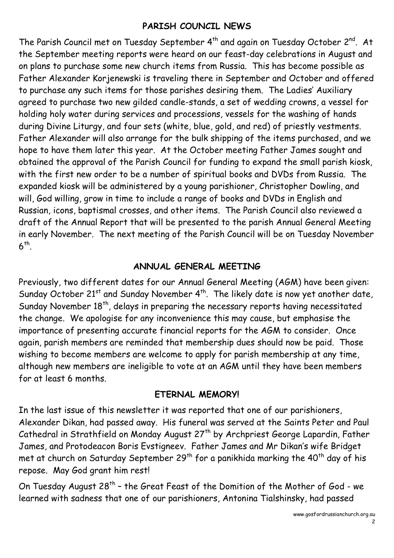# **PARISH COUNCIL NEWS**

The Parish Council met on Tuesday September 4<sup>th</sup> and again on Tuesday October 2<sup>nd</sup>. At the September meeting reports were heard on our feast-day celebrations in August and on plans to purchase some new church items from Russia. This has become possible as Father Alexander Korjenewski is traveling there in September and October and offered to purchase any such items for those parishes desiring them. The Ladies' Auxiliary agreed to purchase two new gilded candle-stands, a set of wedding crowns, a vessel for holding holy water during services and processions, vessels for the washing of hands during Divine Liturgy, and four sets (white, blue, gold, and red) of priestly vestments. Father Alexander will also arrange for the bulk shipping of the items purchased, and we hope to have them later this year. At the October meeting Father James sought and obtained the approval of the Parish Council for funding to expand the small parish kiosk, with the first new order to be a number of spiritual books and DVDs from Russia. The expanded kiosk will be administered by a young parishioner, Christopher Dowling, and will, God willing, grow in time to include a range of books and DVDs in English and Russian, icons, baptismal crosses, and other items. The Parish Council also reviewed a draft of the Annual Report that will be presented to the parish Annual General Meeting in early November. The next meeting of the Parish Council will be on Tuesday November  $6<sup>th</sup>$ .

## **ANNUAL GENERAL MEETING**

Previously, two different dates for our Annual General Meeting (AGM) have been given:<br>Sunday October 21<sup>st</sup> and Sunday November 4<sup>th</sup>. The likely date is now yet another date, Sunday November 18<sup>th</sup>, delays in preparing the necessary reports having necessitated the change. We apologise for any inconvenience this may cause, but emphasise the importance of presenting accurate financial reports for the AGM to consider. Once again, parish members are reminded that membership dues should now be paid. Those wishing to become members are welcome to apply for parish membership at any time, although new members are ineligible to vote at an AGM until they have been members for at least 6 months.

#### **ETERNAL MEMORY!**

In the last issue of this newsletter it was reported that one of our parishioners, Alexander Dikan, had passed away. His funeral was served at the Saints Peter and Paul Cathedral in Strathfield on Monday August 27<sup>th</sup> by Archpriest George Lapardin, Father James, and Protodeacon Boris Evstigneev. Father James and Mr Dikan's wife Bridget met at church on Saturday September 29<sup>th</sup> for a panikhida marking the 40<sup>th</sup> day of his repose. May God grant him rest!

On Tuesday August 28<sup>th</sup> - the Great Feast of the Domition of the Mother of God - we learned with sadness that one of our parishioners, Antonina Tialshinsky, had passed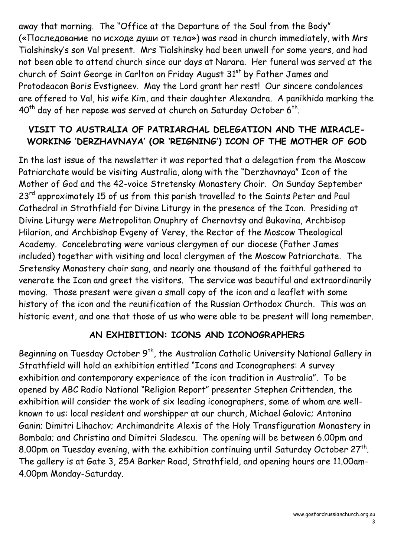away that morning. The "Office at the Departure of the Soul from the Body" («Последование по исходе души от тела») was read in church immediately, with Mrs Tialshinsky's son Val present. Mrs Tialshinsky had been unwell for some years, and had not been able to attend church since our days at Narara. Her funeral was served at the church of Saint George in Carlton on Friday August 31<sup>st</sup> by Father James and Protodeacon Boris Evstigneev. May the Lord grant her rest! Our sincere condolences are offered to Val, his wife Kim, and their daughter Alexandra. A panikhida marking the  $40<sup>th</sup>$  day of her repose was served at church on Saturday October 6<sup>th</sup>.

# **VISIT TO AUSTRALIA OF PATRIARCHAL DELEGATION AND THE MIRACLE- WORKING 'DERZHAVNAYA' (OR 'REIGNING') ICON OF THE MOTHER OF GOD**

In the last issue of the newsletter it was reported that a delegation from the Moscow Patriarchate would be visiting Australia, along with the "Derzhavnaya" Icon of the Mother of God and the 42-voice Stretensky Monastery Choir. On Sunday September 23<sup>rd</sup> approximately 15 of us from this parish travelled to the Saints Peter and Paul Cathedral in Strathfield for Divine Liturgy in the presence of the Icon. Presiding at Divine Liturgy were Metropolitan Onuphry of Chernovtsy and Bukovina, Archbisop Hilarion, and Archbishop Evgeny of Verey, the Rector of the Moscow Theological Academy. Concelebrating were various clergymen of our diocese (Father James included) together with visiting and local clergymen of the Moscow Patriarchate. The Sretensky Monastery choir sang, and nearly one thousand of the faithful gathered to venerate the Icon and greet the visitors. The service was beautiful and extraordinarily moving. Those present were given a small copy of the icon and a leaflet with some history of the icon and the reunification of the Russian Orthodox Church. This was an historic event, and one that those of us who were able to be present will long remember.

## **AN EXHIBITION: ICONS AND ICONOGRAPHERS**

Beginning on Tuesday October 9<sup>th</sup>, the Australian Catholic University National Gallery in Strathfield will hold an exhibition entitled "Icons and Iconographers: A survey exhibition and contemporary experience of the icon tradition in Australia". To be opened by ABC Radio National "Religion Report" presenter Stephen Crittenden, the exhibition will consider the work of six leading iconographers, some of whom are well known to us: local resident and worshipper at our church, Michael Galovic; Antonina Ganin; Dimitri Lihachov; Archimandrite Alexis of the Holy Transfiguration Monastery in Bombala; and Christina and Dimitri Sladescu. The opening will be between 6.00pm and 8.00pm on Tuesday evening, with the exhibition continuing until Saturday October 27<sup>th</sup>. The gallery is at Gate 3, 25A Barker Road, Strathfield, and opening hours are 11.00am-4.00pm Monday-Saturday.